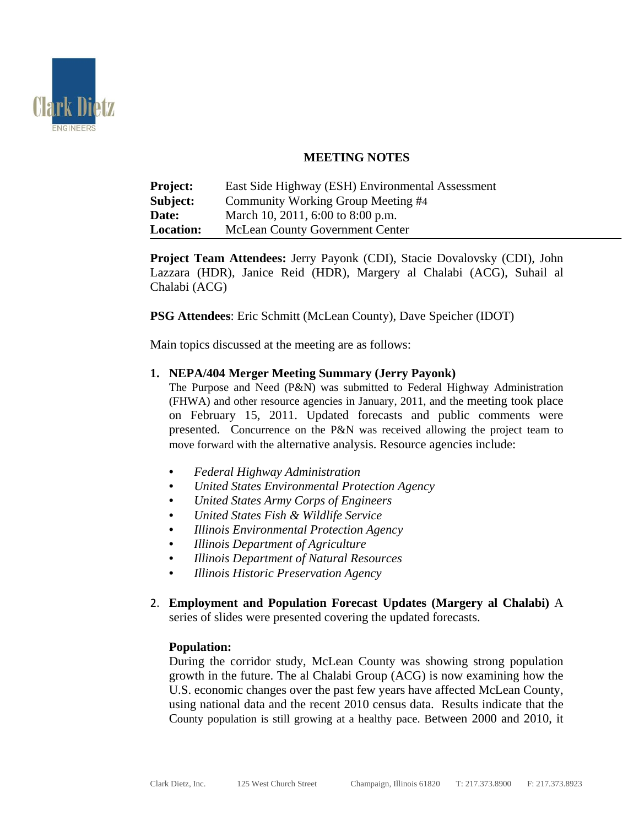

# **MEETING NOTES**

| <b>Project:</b>  | East Side Highway (ESH) Environmental Assessment |
|------------------|--------------------------------------------------|
| Subject:         | Community Working Group Meeting #4               |
| Date:            | March 10, 2011, 6:00 to 8:00 p.m.                |
| <b>Location:</b> | <b>McLean County Government Center</b>           |

**Project Team Attendees:** Jerry Payonk (CDI), Stacie Dovalovsky (CDI), John Lazzara (HDR), Janice Reid (HDR), Margery al Chalabi (ACG), Suhail al Chalabi (ACG)

**PSG Attendees**: Eric Schmitt (McLean County), Dave Speicher (IDOT)

Main topics discussed at the meeting are as follows:

### **1. NEPA/404 Merger Meeting Summary (Jerry Payonk)**

The Purpose and Need (P&N) was submitted to Federal Highway Administration (FHWA) and other resource agencies in January, 2011, and the meeting took place on February 15, 2011. Updated forecasts and public comments were presented. Concurrence on the P&N was received allowing the project team to move forward with the alternative analysis. Resource agencies include:

- *Federal Highway Administration*
- *United States Environmental Protection Agency*
- *United States Army Corps of Engineers*
- *United States Fish & Wildlife Service*
- *Illinois Environmental Protection Agency*
- *Illinois Department of Agriculture*
- *Illinois Department of Natural Resources*
- *Illinois Historic Preservation Agency*
- 2. **Employment and Population Forecast Updates (Margery al Chalabi)** A series of slides were presented covering the updated forecasts.

# **Population:**

During the corridor study, McLean County was showing strong population growth in the future. The al Chalabi Group (ACG) is now examining how the U.S. economic changes over the past few years have affected McLean County, using national data and the recent 2010 census data. Results indicate that the County population is still growing at a healthy pace. Between 2000 and 2010, it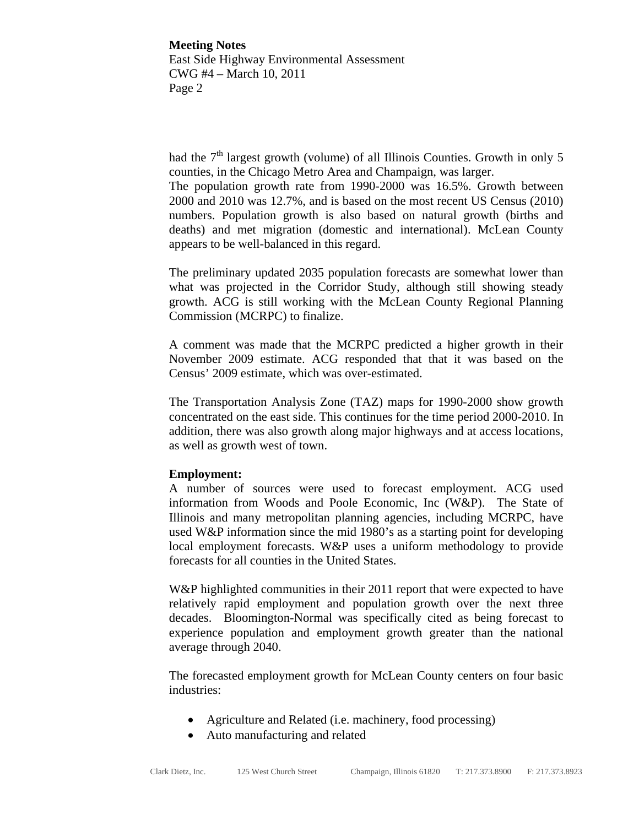had the  $7<sup>th</sup>$  largest growth (volume) of all Illinois Counties. Growth in only 5 counties, in the Chicago Metro Area and Champaign, was larger.

The population growth rate from 1990-2000 was 16.5%. Growth between 2000 and 2010 was 12.7%, and is based on the most recent US Census (2010) numbers. Population growth is also based on natural growth (births and deaths) and met migration (domestic and international). McLean County appears to be well-balanced in this regard.

The preliminary updated 2035 population forecasts are somewhat lower than what was projected in the Corridor Study, although still showing steady growth. ACG is still working with the McLean County Regional Planning Commission (MCRPC) to finalize.

A comment was made that the MCRPC predicted a higher growth in their November 2009 estimate. ACG responded that that it was based on the Census' 2009 estimate, which was over-estimated.

The Transportation Analysis Zone (TAZ) maps for 1990-2000 show growth concentrated on the east side. This continues for the time period 2000-2010. In addition, there was also growth along major highways and at access locations, as well as growth west of town.

### **Employment:**

A number of sources were used to forecast employment. ACG used information from Woods and Poole Economic, Inc (W&P). The State of Illinois and many metropolitan planning agencies, including MCRPC, have used W&P information since the mid 1980's as a starting point for developing local employment forecasts. W&P uses a uniform methodology to provide forecasts for all counties in the United States.

W&P highlighted communities in their 2011 report that were expected to have relatively rapid employment and population growth over the next three decades. Bloomington-Normal was specifically cited as being forecast to experience population and employment growth greater than the national average through 2040.

The forecasted employment growth for McLean County centers on four basic industries:

- Agriculture and Related (i.e. machinery, food processing)
- Auto manufacturing and related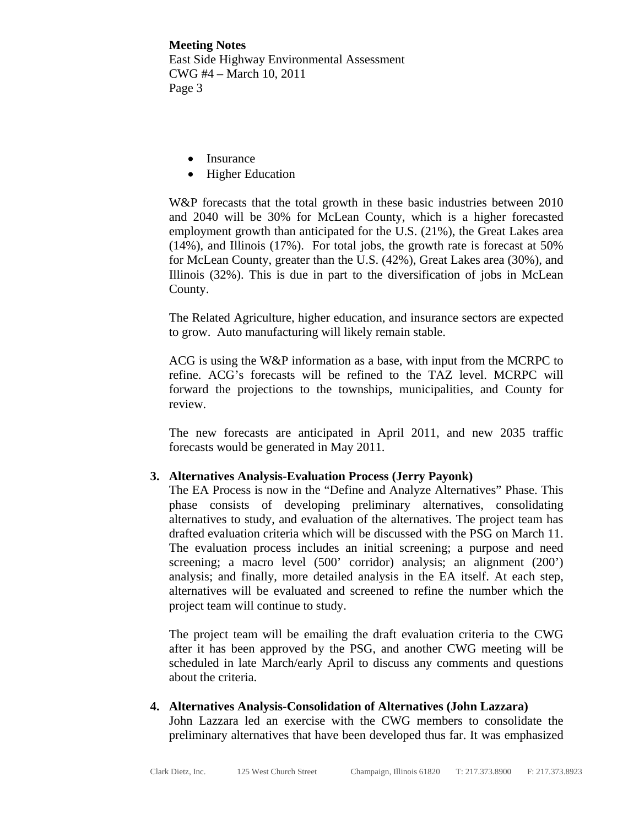- Insurance
- Higher Education

W&P forecasts that the total growth in these basic industries between 2010 and 2040 will be 30% for McLean County, which is a higher forecasted employment growth than anticipated for the U.S. (21%), the Great Lakes area (14%), and Illinois (17%). For total jobs, the growth rate is forecast at 50% for McLean County, greater than the U.S. (42%), Great Lakes area (30%), and Illinois (32%). This is due in part to the diversification of jobs in McLean County.

The Related Agriculture, higher education, and insurance sectors are expected to grow. Auto manufacturing will likely remain stable.

ACG is using the W&P information as a base, with input from the MCRPC to refine. ACG's forecasts will be refined to the TAZ level. MCRPC will forward the projections to the townships, municipalities, and County for review.

The new forecasts are anticipated in April 2011, and new 2035 traffic forecasts would be generated in May 2011.

### **3. Alternatives Analysis-Evaluation Process (Jerry Payonk)**

The EA Process is now in the "Define and Analyze Alternatives" Phase. This phase consists of developing preliminary alternatives, consolidating alternatives to study, and evaluation of the alternatives. The project team has drafted evaluation criteria which will be discussed with the PSG on March 11. The evaluation process includes an initial screening; a purpose and need screening; a macro level (500' corridor) analysis; an alignment (200') analysis; and finally, more detailed analysis in the EA itself. At each step, alternatives will be evaluated and screened to refine the number which the project team will continue to study.

The project team will be emailing the draft evaluation criteria to the CWG after it has been approved by the PSG, and another CWG meeting will be scheduled in late March/early April to discuss any comments and questions about the criteria.

## **4. Alternatives Analysis-Consolidation of Alternatives (John Lazzara)**  John Lazzara led an exercise with the CWG members to consolidate the preliminary alternatives that have been developed thus far. It was emphasized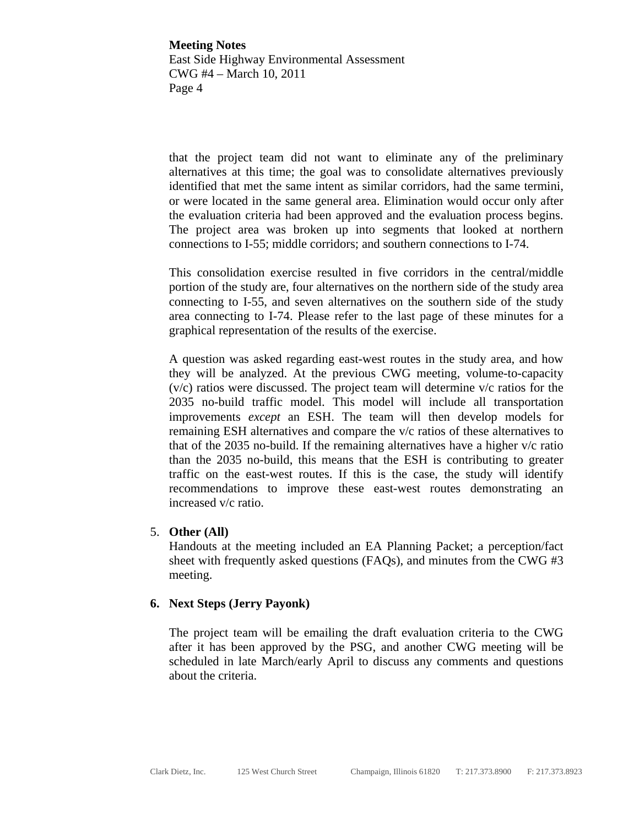that the project team did not want to eliminate any of the preliminary alternatives at this time; the goal was to consolidate alternatives previously identified that met the same intent as similar corridors, had the same termini, or were located in the same general area. Elimination would occur only after the evaluation criteria had been approved and the evaluation process begins. The project area was broken up into segments that looked at northern connections to I-55; middle corridors; and southern connections to I-74.

This consolidation exercise resulted in five corridors in the central/middle portion of the study are, four alternatives on the northern side of the study area connecting to I-55, and seven alternatives on the southern side of the study area connecting to I-74. Please refer to the last page of these minutes for a graphical representation of the results of the exercise.

A question was asked regarding east-west routes in the study area, and how they will be analyzed. At the previous CWG meeting, volume-to-capacity (v/c) ratios were discussed. The project team will determine v/c ratios for the 2035 no-build traffic model. This model will include all transportation improvements *except* an ESH. The team will then develop models for remaining ESH alternatives and compare the v/c ratios of these alternatives to that of the 2035 no-build. If the remaining alternatives have a higher v/c ratio than the 2035 no-build, this means that the ESH is contributing to greater traffic on the east-west routes. If this is the case, the study will identify recommendations to improve these east-west routes demonstrating an increased v/c ratio.

#### 5. **Other (All)**

Handouts at the meeting included an EA Planning Packet; a perception/fact sheet with frequently asked questions (FAQs), and minutes from the CWG #3 meeting.

#### **6. Next Steps (Jerry Payonk)**

The project team will be emailing the draft evaluation criteria to the CWG after it has been approved by the PSG, and another CWG meeting will be scheduled in late March/early April to discuss any comments and questions about the criteria.